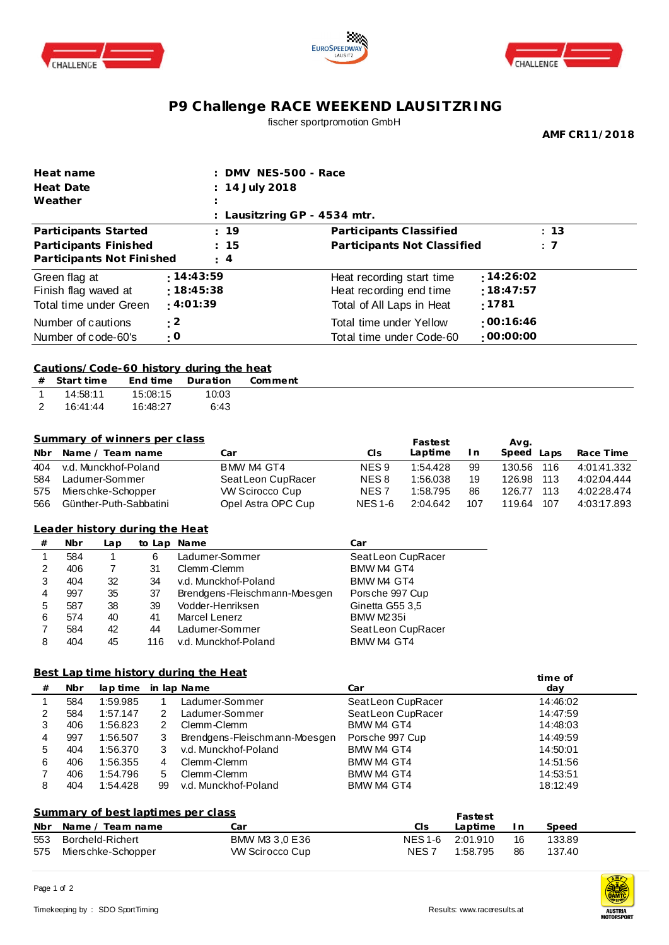





## **P9 Challenge RACE WEEKEND LAUSITZRING** fischer sportpromotion GmbH

**AMF CR11/2018**

| Heat name                           |                                        |                                          | DMV NES-500 - Race |                      |                                             |                                       |                      |           |                  |            |                            |
|-------------------------------------|----------------------------------------|------------------------------------------|--------------------|----------------------|---------------------------------------------|---------------------------------------|----------------------|-----------|------------------|------------|----------------------------|
| 14 July 2018<br>Heat Date           |                                        |                                          |                    |                      |                                             |                                       |                      |           |                  |            |                            |
|                                     | Weather                                |                                          |                    |                      |                                             |                                       |                      |           |                  |            |                            |
|                                     |                                        |                                          |                    |                      | : Lausitzring GP - 4534 mtr.                |                                       |                      |           |                  |            |                            |
|                                     |                                        | Participants Started                     |                    |                      | : 19                                        | Participants Classified               |                      |           |                  | : 13       |                            |
|                                     | Participants Finished<br>15            |                                          |                    |                      | Participants Not Classified                 |                                       |                      |           | : 7              |            |                            |
|                                     |                                        | Participants Not Finished                |                    |                      | 4                                           |                                       |                      |           |                  |            |                            |
|                                     |                                        |                                          |                    |                      |                                             |                                       |                      |           |                  |            |                            |
| : 14:43:59<br>Green flag at         |                                        |                                          |                    |                      |                                             | Heat recording start time             |                      |           | :14:26:02        |            |                            |
| :18:45:38<br>Finish flag waved at   |                                        |                                          |                    |                      | Heat recording end time                     |                                       |                      | :18:47:57 |                  |            |                            |
| : 4:01:39<br>Total time under Green |                                        |                                          |                    |                      |                                             | :1781<br>Total of All Laps in Heat    |                      |           |                  |            |                            |
| : 2<br>Number of cautions           |                                        |                                          |                    |                      |                                             | Total time under Yellow               |                      |           | :00:16:46        |            |                            |
|                                     |                                        | Number of code-60's                      |                    | : 0                  |                                             | :00:00:00<br>Total time under Code-60 |                      |           |                  |            |                            |
|                                     |                                        |                                          |                    |                      |                                             |                                       |                      |           |                  |            |                            |
|                                     |                                        | Cautions/Code-60 history during the heat |                    |                      |                                             |                                       |                      |           |                  |            |                            |
| #                                   | Start time                             |                                          | End time           | Duration             | Comment                                     |                                       |                      |           |                  |            |                            |
| $\mathbf{1}$                        | 14:58:11                               |                                          | 15:08:15           | 10:03                |                                             |                                       |                      |           |                  |            |                            |
| 2                                   | 16:41:44                               |                                          | 16:48:27           | 6:43                 |                                             |                                       |                      |           |                  |            |                            |
|                                     |                                        |                                          |                    |                      |                                             |                                       |                      |           |                  |            |                            |
|                                     |                                        |                                          |                    |                      |                                             |                                       |                      |           |                  |            |                            |
|                                     |                                        | Summary of winners per class             |                    |                      |                                             |                                       | Fastest              |           | Avg.             |            |                            |
| Nbr                                 |                                        | Name / Team name                         |                    |                      | Car                                         | CI <sub>S</sub>                       | Laptime              | I n       | Speed Laps       |            | Race Time                  |
| 404                                 |                                        | v.d. Munckhof-Poland                     |                    |                      | BMW M4 GT4                                  | NES <sub>9</sub>                      | 1:54.428             | 99        | 130.56           | 116        | 4:01:41.332                |
| 584<br>575                          |                                        | Ladumer-Sommer<br>Mierschke-Schopper     |                    |                      | Seat Leon CupRacer<br><b>W Scirocco Cup</b> | NES <sub>8</sub><br>NES <sub>7</sub>  | 1:56.038<br>1:58.795 | 19<br>86  | 126.98<br>126.77 | 113<br>113 | 4:02:04.444<br>4:02:28.474 |
| 566                                 |                                        | Günther-Puth-Sabbatini                   |                    |                      | Opel Astra OPC Cup                          | <b>NES1-6</b>                         | 2:04.642             | 107       | 119.64           | 107        | 4:03:17.893                |
|                                     |                                        |                                          |                    |                      |                                             |                                       |                      |           |                  |            |                            |
|                                     |                                        | Leader history during the Heat           |                    |                      |                                             |                                       |                      |           |                  |            |                            |
| $^{\#}$                             | Nbr                                    | Lap                                      |                    | to Lap Name          |                                             | Car                                   |                      |           |                  |            |                            |
| 1                                   | 584                                    | $\mathbf{1}$                             | 6                  | Ladumer-Sommer       |                                             |                                       | Seat Leon CupRacer   |           |                  |            |                            |
| 2                                   | 406                                    | 7                                        | 31                 | Clemm-Clemm          |                                             | BMW M4 GT4                            |                      |           |                  |            |                            |
| 3                                   | 404                                    | 32                                       | 34                 |                      | v.d. Munckhof-Poland                        | BMW M4 GT4                            |                      |           |                  |            |                            |
| 4                                   | 997                                    | 35                                       | 37                 |                      | Brendgens-Fleischmann-Moesgen               | Porsche 997 Cup                       |                      |           |                  |            |                            |
| 5                                   | 587                                    | 38                                       | 39                 | Vodder-Henriksen     |                                             | Ginetta G55 3,5                       |                      |           |                  |            |                            |
| 6                                   | 574                                    | 40                                       | 41                 | <b>Marcel Lenerz</b> |                                             | BMW M235i                             |                      |           |                  |            |                            |
| 7                                   | 584                                    | 42                                       | 44                 | Ladumer-Sommer       |                                             |                                       | Seat Leon CupRacer   |           |                  |            |                            |
| 8                                   | 404                                    | 45                                       | 116                |                      | v.d. Munckhof-Poland                        | BMW M4 GT4                            |                      |           |                  |            |                            |
|                                     |                                        |                                          |                    |                      |                                             |                                       |                      |           |                  |            |                            |
|                                     |                                        | Best Lap time history during the Heat    |                    |                      |                                             |                                       |                      |           |                  | time of    |                            |
| $\#$                                | Nbr                                    | lap time                                 |                    | in lap Name          |                                             | Car                                   |                      |           |                  | day        |                            |
| 1                                   | 584                                    | 1:59.985                                 | $\mathbf{1}$       | Ladumer-Sommer       |                                             | Seat Leon CupRacer                    |                      |           |                  | 14:46:02   |                            |
| 2                                   | 584                                    | 1:57.147                                 | 2                  | Ladumer-Sommer       |                                             | Seat Leon CupRacer                    |                      |           |                  | 14:47:59   |                            |
| 3                                   | 406                                    | 1:56.823                                 | $\overline{c}$     | Clemm-Clemm          |                                             | BMW M4 GT4                            |                      |           |                  | 14:48:03   |                            |
| 4                                   | 997                                    | 1:56.507                                 | 3                  |                      | Brendgens-Fleischmann-Moesgen               | Porsche 997 Cup                       |                      |           |                  | 14:49:59   |                            |
| 5                                   | 404                                    | 1:56.370                                 | 3                  |                      | v.d. Munckhof-Poland                        | BMW M4 GT4                            |                      |           |                  | 14:50:01   |                            |
| 6                                   | 406                                    | 1:56.355                                 | 4                  | Clemm-Clemm          |                                             | BMW M4 GT4                            |                      |           |                  | 14:51:56   |                            |
| 7<br>406<br>1:54.796<br>5           |                                        | Clemm-Clemm                              |                    |                      | BMW M4 GT4                                  |                                       |                      | 14:53:51  |                  |            |                            |
| 8                                   | 404                                    | 1:54.428                                 | 99                 |                      | v.d. Munckhof-Poland                        | BMW M4 GT4                            |                      |           |                  | 18:12:49   |                            |
|                                     |                                        |                                          |                    |                      |                                             |                                       |                      |           |                  |            |                            |
|                                     |                                        | Summary of best laptimes per class       |                    |                      |                                             |                                       |                      | Fastest   |                  |            |                            |
| Nbr                                 | Name / Team name                       |                                          |                    | Car                  |                                             | CIS                                   | Laptime              | I n       | Speed            |            |                            |
| 553                                 | Borcheld-Richert<br>Mierschke-Schopper |                                          | BMW M3 3,0 E36     |                      | <b>NES1-6</b>                               | 2:01.910                              | 16                   | 133.89    |                  |            |                            |
| 575                                 |                                        |                                          |                    |                      | <b>W Scirocco Cup</b>                       |                                       | NES <sub>7</sub>     | 1:58.795  | 86               | 137.40     |                            |



AME **erik UAMTC** AUSTRIA<br>MOTORSPORT